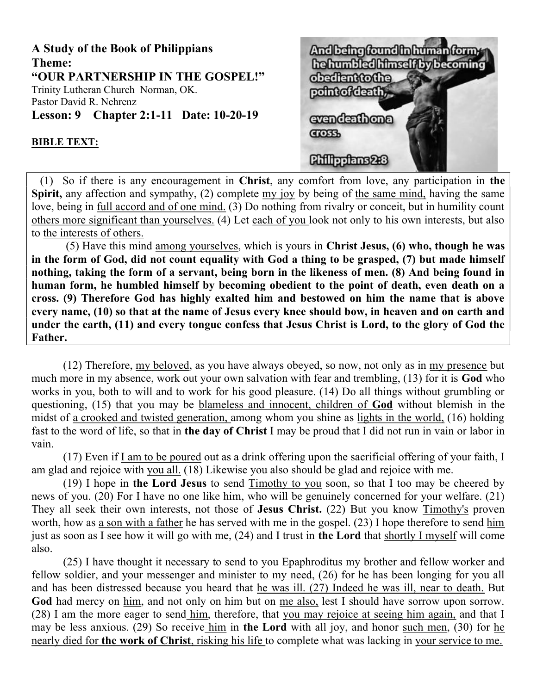

# And being found the human formy he humbled himself by becoming chaftantocha point of death. evendenthona **COSS** Chillendans223

## BIBLE TEXT:

 (1) So if there is any encouragement in Christ, any comfort from love, any participation in the Spirit, any affection and sympathy, (2) complete my joy by being of the same mind, having the same love, being in full accord and of one mind. (3) Do nothing from rivalry or conceit, but in humility count others more significant than yourselves. (4) Let each of you look not only to his own interests, but also to the interests of others.

 (5) Have this mind among yourselves, which is yours in Christ Jesus, (6) who, though he was in the form of God, did not count equality with God a thing to be grasped, (7) but made himself nothing, taking the form of a servant, being born in the likeness of men. (8) And being found in human form, he humbled himself by becoming obedient to the point of death, even death on a cross. (9) Therefore God has highly exalted him and bestowed on him the name that is above every name, (10) so that at the name of Jesus every knee should bow, in heaven and on earth and under the earth, (11) and every tongue confess that Jesus Christ is Lord, to the glory of God the Father.

(12) Therefore, my beloved, as you have always obeyed, so now, not only as in my presence but much more in my absence, work out your own salvation with fear and trembling, (13) for it is God who works in you, both to will and to work for his good pleasure. (14) Do all things without grumbling or questioning, (15) that you may be blameless and innocent, children of God without blemish in the midst of a crooked and twisted generation, among whom you shine as lights in the world, (16) holding fast to the word of life, so that in the day of Christ I may be proud that I did not run in vain or labor in vain.

(17) Even if I am to be poured out as a drink offering upon the sacrificial offering of your faith, I am glad and rejoice with you all. (18) Likewise you also should be glad and rejoice with me.

(19) I hope in the Lord Jesus to send Timothy to you soon, so that I too may be cheered by news of you. (20) For I have no one like him, who will be genuinely concerned for your welfare. (21) They all seek their own interests, not those of Jesus Christ. (22) But you know Timothy's proven worth, how as a son with a father he has served with me in the gospel. (23) I hope therefore to send him just as soon as I see how it will go with me, (24) and I trust in the Lord that shortly I myself will come also.

(25) I have thought it necessary to send to you Epaphroditus my brother and fellow worker and fellow soldier, and your messenger and minister to my need, (26) for he has been longing for you all and has been distressed because you heard that he was ill. (27) Indeed he was ill, near to death. But God had mercy on him, and not only on him but on me also, lest I should have sorrow upon sorrow. (28) I am the more eager to send him, therefore, that you may rejoice at seeing him again, and that I may be less anxious. (29) So receive him in the Lord with all joy, and honor such men, (30) for he nearly died for the work of Christ, risking his life to complete what was lacking in your service to me.